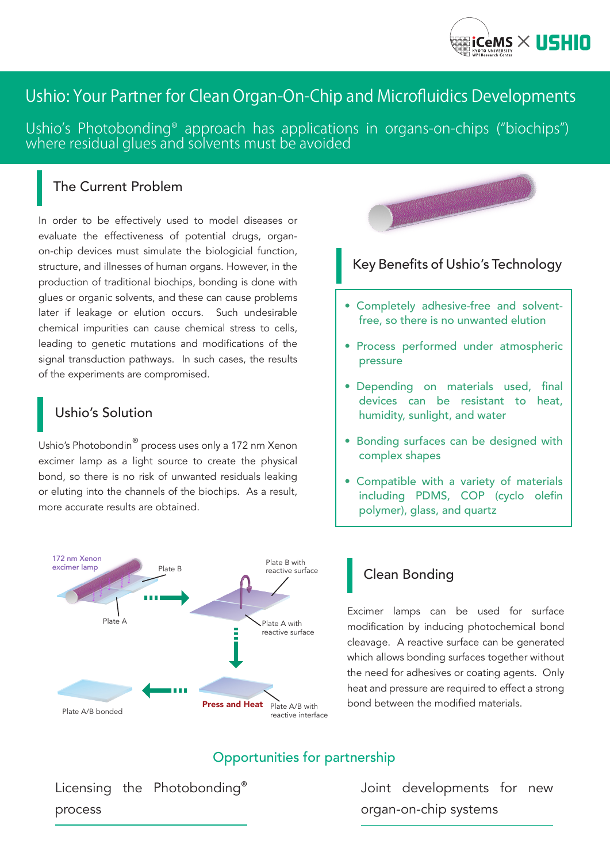

# Ushio: Your Partner for Clean Organ-On-Chip and Microfluidics Developments

Ushio's Photobonding® approach has applications in organs-on-chips ("biochips") where residual glues and solvents must be avoided

## The Current Problem

In order to be effectively used to model diseases or evaluate the effectiveness of potential drugs, organon-chip devices must simulate the biologicial function, structure, and illnesses of human organs. However, in the production of traditional biochips, bonding is done with glues or organic solvents, and these can cause problems later if leakage or elution occurs. Such undesirable chemical impurities can cause chemical stress to cells, leading to genetic mutations and modifications of the signal transduction pathways. In such cases, the results of the experiments are compromised.

# Ushio's Solution

Ushio's Photobondin® process uses only a 172 nm Xenon excimer lamp as a light source to create the physical bond, so there is no risk of unwanted residuals leaking or eluting into the channels of the biochips. As a result, more accurate results are obtained.





# Key Benefits of Ushio's Technology

- Completely adhesive-free and solventfree, so there is no unwanted elution
- Process performed under atmospheric pressure
- Depending on materials used, final devices can be resistant to heat, humidity, sunlight, and water
- Bonding surfaces can be designed with complex shapes
- Compatible with a variety of materials including PDMS, COP (cyclo olefin polymer), glass, and quartz

# Clean Bonding

Excimer lamps can be used for surface modification by inducing photochemical bond cleavage. A reactive surface can be generated which allows bonding surfaces together without the need for adhesives or coating agents. Only heat and pressure are required to effect a strong bond between the modified materials.

# Opportunities for partnership

Licensing the Photobonding® process

Joint developments for new organ-on-chip systems